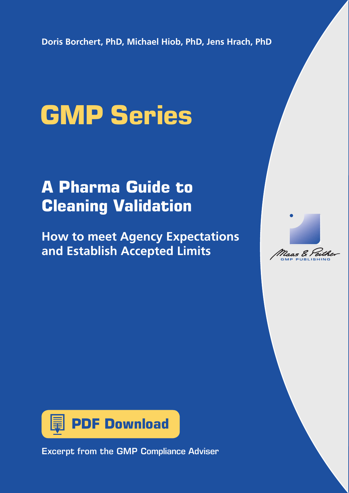**Doris Borchert, PhD, Michael Hiob, PhD, Jens Hrach, PhD**

# **GMP Series**

# **A Pharma Guide to Cleaning Validation**

**How to meet Agency Expectations and Establish Accepted Limits**





Excerpt from the GMP Compliance Adviser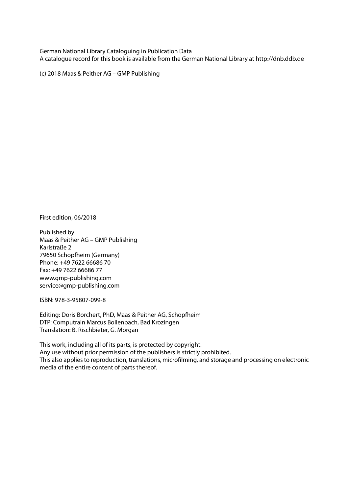German National Library Cataloguing in Publication Data A catalogue record for this book is available from the German National Library at http://dnb.ddb.de

(c) 2018 Maas & Peither AG – GMP Publishing

First edition, 06/2018

Published by Maas & Peither AG – GMP Publishing Karlstraße 2 79650 Schopfheim (Germany) Phone: +49 7622 66686 70 Fax: +49 7622 66686 77 www.gmp-publishing.com service@gmp-publishing.com

ISBN: 978-3-95807-099-8

Editing: Doris Borchert, PhD, Maas & Peither AG, Schopfheim DTP: Computrain Marcus Bollenbach, Bad Krozingen Translation: B. Rischbieter, G. Morgan

This work, including all of its parts, is protected by copyright. Any use without prior permission of the publishers is strictly prohibited. This also applies to reproduction, translations, microfilming, and storage and processing on electronic media of the entire content of parts thereof.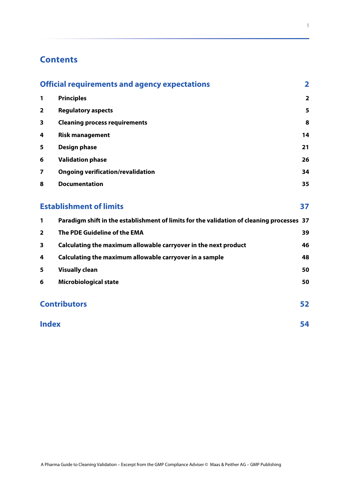# **Contents**

|                | <b>Official requirements and agency expectations</b>                                      |                         |
|----------------|-------------------------------------------------------------------------------------------|-------------------------|
| 1              | <b>Principles</b>                                                                         | $\overline{\mathbf{2}}$ |
| 2              | <b>Regulatory aspects</b>                                                                 | 5                       |
| 3              | <b>Cleaning process requirements</b>                                                      | 8                       |
| 4              | <b>Risk management</b>                                                                    | 14                      |
| 5              | <b>Design phase</b>                                                                       | 21                      |
| 6              | <b>Validation phase</b>                                                                   | 26                      |
| 7              | <b>Ongoing verification/revalidation</b>                                                  | 34                      |
| 8              | <b>Documentation</b>                                                                      | 35                      |
|                | <b>Establishment of limits</b>                                                            |                         |
| 1              | Paradigm shift in the establishment of limits for the validation of cleaning processes 37 |                         |
| $\overline{2}$ | The PDE Guideline of the EMA                                                              | 39                      |
| 3              | Calculating the maximum allowable carryover in the next product                           | 46                      |
| 4              | Calculating the maximum allowable carryover in a sample                                   | 48                      |
| 5              | <b>Visually clean</b>                                                                     | 50                      |
| 6              | <b>Microbiological state</b>                                                              | 50                      |
|                | <b>Contributors</b>                                                                       |                         |
|                | <b>Index</b>                                                                              |                         |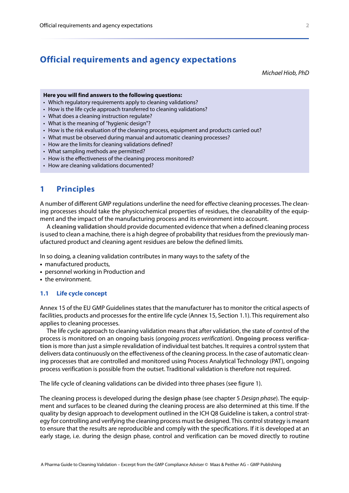# <span id="page-3-0"></span>**Official requirements and agency expectations**

<span id="page-3-7"></span>*Michael Hiob, PhD*

#### **Here you will find answers to the following questions:**

- Which regulatory requirements apply to cleaning validations?
- How is the life cycle approach transferred to cleaning validations?
- What does a cleaning instruction regulate?
- What is the meaning of "hygienic design"?
- How is the risk evaluation of the cleaning process, equipment and products carried out?
- What must be observed during manual and automatic cleaning processes?
- How are the limits for cleaning validations defined?
- What sampling methods are permitted?
- How is the effectiveness of the cleaning process monitored?
- How are cleaning validations documented?

#### <span id="page-3-6"></span><span id="page-3-1"></span>**1 Principles**

A number of different GMP regulations underline the need for effective cleaning processes. The cleaning processes should take the physicochemical properties of residues, the cleanability of the equipment and the impact of the manufacturing process and its environment into account.

<span id="page-3-4"></span>A **cleaning validation** should provide documented evidence that when a defined cleaning process is used to clean a machine, there is a high degree of probability that residues from the previously manufactured product and cleaning agent residues are below the defined limits.

In so doing, a cleaning validation contributes in many ways to the safety of the

- **•** manufactured products,
- **•** personnel working in Production and
- **•** the environment.

#### <span id="page-3-3"></span>**1.1 Life cycle concept**

Annex 15 of the EU GMP Guidelines states that the manufacturer has to monitor the critical aspects of facilities, products and processes for the entire life cycle (Annex 15, Section 1.1). This requirement also applies to cleaning processes.

<span id="page-3-5"></span>The life cycle approach to cleaning validation means that after validation, the state of control of the process is monitored on an ongoing basis (*ongoing process verification*). **Ongoing process verification** is more than just a simple revalidation of individual test batches. It requires a control system that delivers data continuously on the effectiveness of the cleaning process. In the case of automatic cleaning processes that are controlled and monitored using Process Analytical Technology (PAT), ongoing process verification is possible from the outset. Traditional validation is therefore not required.

The life cycle of cleaning validations can be divided into three phases (see [figure 1\)](#page-4-0).

<span id="page-3-2"></span>The cleaning process is developed during the **design phase** (see chapter 5 *[Design phase](#page--1-0)*). The equipment and surfaces to be cleaned during the cleaning process are also determined at this time. If the quality by design approach to development outlined in the ICH Q8 Guideline is taken, a control strategy for controlling and verifying the cleaning process must be designed. This control strategy is meant to ensure that the results are reproducible and comply with the specifications. If it is developed at an early stage, i.e. during the design phase, control and verification can be moved directly to routine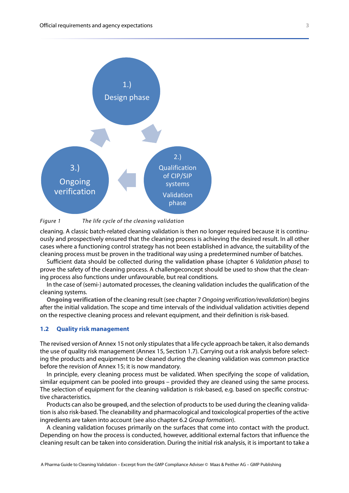

#### <span id="page-4-0"></span>*Figure 1 The life cycle of the cleaning validation*

cleaning. A classic batch-related cleaning validation is then no longer required because it is continuously and prospectively ensured that the cleaning process is achieving the desired result. In all other cases where a functioning control strategy has not been established in advance, the suitability of the cleaning process must be proven in the traditional way using a predetermined number of batches.

<span id="page-4-5"></span>Sufficient data should be collected during the **validation phase** (chapter 6 *[Validation phase](#page--1-1)*) to prove the safety of the cleaning process. A challengeconcept should be used to show that the cleaning process also functions under unfavourable, but real conditions.

In the case of (semi-) automated processes, the cleaning validation includes the qualification of the cleaning systems.

<span id="page-4-2"></span>**Ongoing verification** of the cleaning result (see chapter 7 *[Ongoing verification/revalidation](#page--1-2)*) begins after the initial validation. The scope and time intervals of the individual validation activities depend on the respective cleaning process and relevant equipment, and their definition is risk-based.

#### <span id="page-4-4"></span>**1.2 Quality risk management**

The revised version of Annex 15 not only stipulates that a life cycle approach be taken, it also demands the use of quality risk management (Annex 15, Section 1.7). Carrying out a risk analysis before selecting the products and equipment to be cleaned during the cleaning validation was common practice before the revision of Annex 15; it is now mandatory.

<span id="page-4-1"></span>In principle, every cleaning process must be validated. When specifying the scope of validation, similar equipment can be pooled into **groups** – provided they are cleaned using the same process. The selection of equipment for the cleaning validation is risk-based, e.g. based on specific constructive characteristics.

<span id="page-4-3"></span>Products can also be **grouped**, and the selection of products to be used during the cleaning validation is also risk-based. The cleanability and pharmacological and toxicological properties of the active ingredients are taken into account (see also chapter 6.2 *[Group formation](#page--1-8)*).

A cleaning validation focuses primarily on the surfaces that come into contact with the product. Depending on how the process is conducted, however, additional external factors that influence the cleaning result can be taken into consideration. During the initial risk analysis, it is important to take a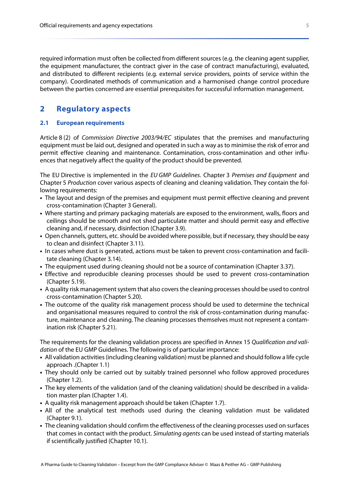required information must often be collected from different sources (e.g. the cleaning agent supplier, the equipment manufacturer, the contract giver in the case of contract manufacturing), evaluated, and distributed to different recipients (e.g. external service providers, points of service within the company). Coordinated methods of communication and a harmonised change control procedure between the parties concerned are essential prerequisites for successful information management.

# <span id="page-5-1"></span><span id="page-5-0"></span>**2 Regulatory aspects**

#### <span id="page-5-2"></span>**2.1 European requirements**

Article 8 (2) of *Commission Directive 2003/94/EC* stipulates that the premises and manufacturing equipment must be laid out, designed and operated in such a way as to minimise the risk of error and permit effective cleaning and maintenance. Contamination, cross-contamination and other influences that negatively affect the quality of the product should be prevented.

The EU Directive is implemented in the *EU GMP Guidelines*. Chapter 3 *Premises and Equipment* and Chapter 5 *Production* cover various aspects of cleaning and cleaning validation. They contain the following requirements:

- **•** The layout and design of the premises and equipment must permit effective cleaning and prevent cross-contamination (Chapter 3 General).
- **•** Where starting and primary packaging materials are exposed to the environment, walls, floors and ceilings should be smooth and not shed particulate matter and should permit easy and effective cleaning and, if necessary, disinfection (Chapter 3.9).
- **•** Open channels, gutters, etc. should be avoided where possible, but if necessary, they should be easy to clean and disinfect (Chapter 3.11).
- **•** In cases where dust is generated, actions must be taken to prevent cross-contamination and facilitate cleaning (Chapter 3.14).
- **•** The equipment used during cleaning should not be a source of contamination (Chapter 3.37).
- **•** Effective and reproducible cleaning processes should be used to prevent cross-contamination (Chapter 5.19).
- **•** A quality risk management system that also covers the cleaning processes should be used to control cross-contamination (Chapter 5.20).
- **•** The outcome of the quality risk management process should be used to determine the technical and organisational measures required to control the risk of cross-contamination during manufacture, maintenance and cleaning. The cleaning processes themselves must not represent a contamination risk (Chapter 5.21).

The requirements for the cleaning validation process are specified in Annex 15 *Qualification and validation* of the EU GMP Guidelines. The following is of particular importance:

- **•** All validation activities (including cleaning validation) must be planned and should follow a life cycle approach .(Chapter 1.1)
- **•** They should only be carried out by suitably trained personnel who follow approved procedures (Chapter 1.2).
- **•** The key elements of the validation (and of the cleaning validation) should be described in a validation master plan (Chapter 1.4).
- **•** A quality risk management approach should be taken (Chapter 1.7).
- **•** All of the analytical test methods used during the cleaning validation must be validated (Chapter 9.1).
- **•** The cleaning validation should confirm the effectiveness of the cleaning processes used on surfaces that comes in contact with the product. *Simulating agents* can be used instead of starting materials if scientifically justified (Chapter 10.1).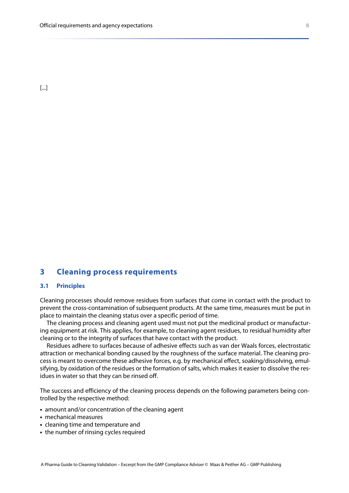<span id="page-6-7"></span><span id="page-6-6"></span><span id="page-6-4"></span>[...]

#### <span id="page-6-8"></span><span id="page-6-5"></span><span id="page-6-3"></span><span id="page-6-2"></span><span id="page-6-0"></span>**3 Cleaning process requirements**

#### <span id="page-6-1"></span>**3.1 Principles**

Cleaning processes should remove residues from surfaces that come in contact with the product to prevent the cross-contamination of subsequent products. At the same time, measures must be put in place to maintain the cleaning status over a specific period of time.

The cleaning process and cleaning agent used must not put the medicinal product or manufacturing equipment at risk. This applies, for example, to cleaning agent residues, to residual humidity after cleaning or to the integrity of surfaces that have contact with the product.

Residues adhere to surfaces because of adhesive effects such as van der Waals forces, electrostatic attraction or mechanical bonding caused by the roughness of the surface material. The cleaning process is meant to overcome these adhesive forces, e.g. by mechanical effect, soaking/dissolving, emulsifying, by oxidation of the residues or the formation of salts, which makes it easier to dissolve the residues in water so that they can be rinsed off.

The success and efficiency of the cleaning process depends on the following parameters being controlled by the respective method:

- **•** amount and/or concentration of the cleaning agent
- **•** mechanical measures
- **•** cleaning time and temperature and
- **•** the number of rinsing cycles required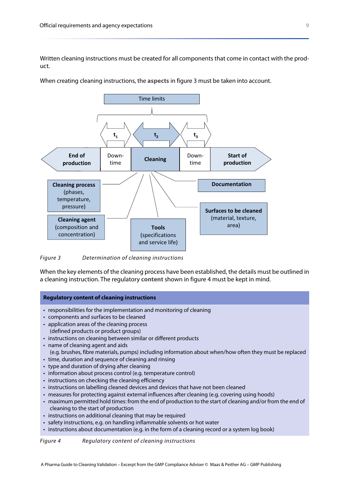Written cleaning instructions must be created for all components that come in contact with the product.

<span id="page-7-3"></span>When creating cleaning instructions, the **aspects** in [figure 3](#page-7-0) must be taken into account.



<span id="page-7-0"></span>*Figure 3 Determination of cleaning instructions*

When the key elements of the cleaning process have been established, the details must be outlined in a cleaning instruction. The regulatory **content** shown in [figure 4](#page-7-1) must be kept in mind.

#### <span id="page-7-2"></span>**Regulatory content of cleaning instructions**

- responsibilities for the implementation and monitoring of cleaning
- components and surfaces to be cleaned
- application areas of the cleaning process
- (defined products or product groups)
- instructions on cleaning between similar or different products
- name of cleaning agent and aids
- (e.g. brushes, fibre materials, pumps) including information about when/how often they must be replaced
- time, duration and sequence of cleaning and rinsing
- type and duration of drying after cleaning
- information about process control (e.g. temperature control)
- instructions on checking the cleaning efficiency
- instructions on labelling cleaned devices and devices that have not been cleaned
- measures for protecting against external influences after cleaning (e.g. covering using hoods)
- maximum permitted hold times: from the end of production to the start of cleaning and/or from the end of cleaning to the start of production
- instructions on additional cleaning that may be required
- safety instructions, e.g. on handling inflammable solvents or hot water
- instructions about documentation (e.g. in the form of a cleaning record or a system log book)

<span id="page-7-1"></span>*Figure 4 Regulatory content of cleaning instructions*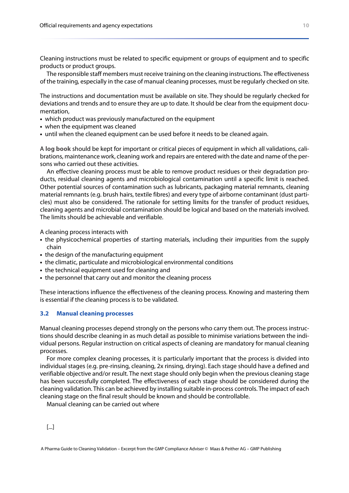Cleaning instructions must be related to specific equipment or groups of equipment and to specific products or product groups.

The responsible staff members must receive training on the cleaning instructions. The effectiveness of the training, especially in the case of manual cleaning processes, must be regularly checked on site.

The instructions and documentation must be available on site. They should be regularly checked for deviations and trends and to ensure they are up to date. It should be clear from the equipment documentation,

- **•** which product was previously manufactured on the equipment
- **•** when the equipment was cleaned
- **•** until when the cleaned equipment can be used before it needs to be cleaned again.

<span id="page-8-2"></span>A **log book** should be kept for important or critical pieces of equipment in which all validations, calibrations, maintenance work, cleaning work and repairs are entered with the date and name of the persons who carried out these activities.

<span id="page-8-1"></span>An effective cleaning process must be able to remove product residues or their degradation products, residual cleaning agents and microbiological contamination until a specific limit is reached. Other potential sources of contamination such as lubricants, packaging material remnants, cleaning material remnants (e.g. brush hairs, textile fibres) and every type of airborne contaminant (dust particles) must also be considered. The rationale for setting **limits** for the transfer of product residues, cleaning agents and microbial contamination should be logical and based on the materials involved. The limits should be achievable and verifiable.

A cleaning process interacts with

- **•** the physicochemical properties of starting materials, including their impurities from the supply chain
- the design of the manufacturing equipment
- **•** the climatic, particulate and microbiological environmental conditions
- **•** the technical equipment used for cleaning and
- **•** the personnel that carry out and monitor the cleaning process

These interactions influence the effectiveness of the cleaning process. Knowing and mastering them is essential if the cleaning process is to be validated.

#### <span id="page-8-0"></span>**3.2 Manual cleaning processes**

Manual cleaning processes depend strongly on the persons who carry them out. The process instructions should describe cleaning in as much detail as possible to minimise variations between the individual persons. Regular instruction on critical aspects of cleaning are mandatory for manual cleaning processes.

For more complex cleaning processes, it is particularly important that the process is divided into individual stages (e.g. pre-rinsing, cleaning, 2x rinsing, drying). Each stage should have a defined and verifiable objective and/or result. The next stage should only begin when the previous cleaning stage has been successfully completed. The effectiveness of each stage should be considered during the cleaning validation. This can be achieved by installing suitable in-process controls. The impact of each cleaning stage on the final result should be known and should be controllable.

Manual cleaning can be carried out where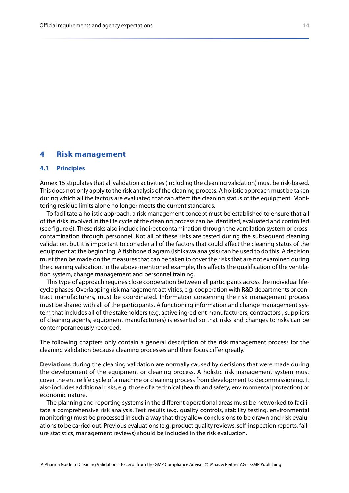#### <span id="page-9-2"></span><span id="page-9-0"></span>**4 Risk management**

#### **4.1 Principles**

Annex 15 stipulates that all validation activities (including the cleaning validation) must be risk-based. This does not only apply to the risk analysis of the cleaning process. A holistic approach must be taken during which all the factors are evaluated that can affect the cleaning status of the equipment. Monitoring residue limits alone no longer meets the current standards.

To facilitate a holistic approach, a risk management concept must be established to ensure that all of the risks involved in the life cycle of the cleaning process can be identified, evaluated and controlled (see [figure 6\)](#page-10-0). These risks also include indirect contamination through the ventilation system or crosscontamination through personnel. Not all of these risks are tested during the subsequent cleaning validation, but it is important to consider all of the factors that could affect the cleaning status of the equipment at the beginning. A fishbone diagram (Ishikawa analysis) can be used to do this. A decision must then be made on the measures that can be taken to cover the risks that are not examined during the cleaning validation. In the above-mentioned example, this affects the qualification of the ventilation system, change management and personnel training.

This type of approach requires close cooperation between all participants across the individual lifecycle phases. Overlapping risk management activities, e.g. cooperation with R&D departments or contract manufacturers, must be coordinated. Information concerning the risk management process must be shared with all of the participants. A functioning information and change management system that includes all of the stakeholders (e.g. active ingredient manufacturers, contractors , suppliers of cleaning agents, equipment manufacturers) is essential so that risks and changes to risks can be contemporaneously recorded.

The following chapters only contain a general description of the risk management process for the cleaning validation because cleaning processes and their focus differ greatly.

<span id="page-9-1"></span>**Deviations** during the cleaning validation are normally caused by decisions that were made during the development of the equipment or cleaning process. A holistic risk management system must cover the entire life cycle of a machine or cleaning process from development to decommissioning. It also includes additional risks, e.g. those of a technical (health and safety, environmental protection) or economic nature.

The planning and reporting systems in the different operational areas must be networked to facilitate a comprehensive risk analysis. Test results (e.g. quality controls, stability testing, environmental monitoring) must be processed in such a way that they allow conclusions to be drawn and risk evaluations to be carried out. Previous evaluations (e.g. product quality reviews, self-inspection reports, failure statistics, management reviews) should be included in the risk evaluation.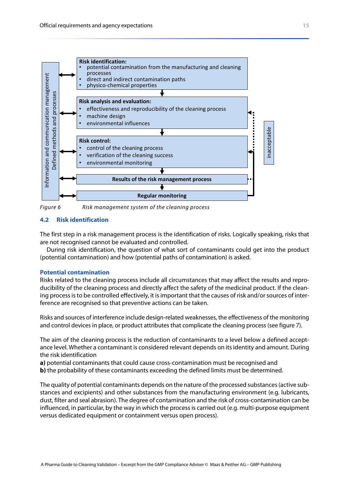

<span id="page-10-0"></span>*Figure 6 Risk management system of the cleaning process*

#### <span id="page-10-2"></span>**4.2 Risk identification**

The first step in a risk management process is the identification of risks. Logically speaking, risks that are not recognised cannot be evaluated and controlled.

During risk identification, the question of what sort of contaminants could get into the product (potential contamination) and how (potential paths of contamination) is asked.

#### <span id="page-10-1"></span>**Potential contamination**

Risks related to the cleaning process include all circumstances that may affect the results and reproducibility of the cleaning process and directly affect the safety of the medicinal product. If the cleaning process is to be controlled effectively, it is important that the causes of risk and/or sources of interference are recognised so that preventive actions can be taken.

Risks and sources of interference include design-related weaknesses, the effectiveness of the monitoring and control devices in place, or product attributes that complicate the cleaning process (see [figure 7](#page-11-0)).

The aim of the cleaning process is the reduction of contaminants to a level below a defined acceptance level. Whether a contaminant is considered relevant depends on its identity and amount. During the risk identification

**a)** potential contaminants that could cause cross-contamination must be recognised and **b**) the probability of these contaminants exceeding the defined limits must be determined.

The quality of potential contaminants depends on the nature of the processed substances (active substances and excipients) and other substances from the manufacturing environment (e.g. lubricants, dust, filter and seal abrasion). The degree of contamination and the risk of cross-contamination can be influenced, in particular, by the way in which the process is carried out (e.g. multi-purpose equipment versus dedicated equipment or containment versus open process).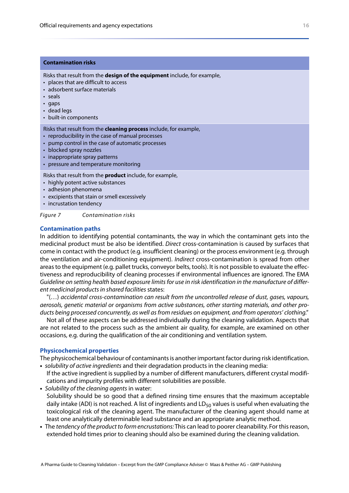#### <span id="page-11-2"></span>**Contamination risks**

Risks that result from the **design of the equipment** include, for example,

- places that are difficult to access
- adsorbent surface materials
- seals
- gaps
- dead legs
- built-in components

Risks that result from the **cleaning process** include, for example,

- reproducibility in the case of manual processes
- pump control in the case of automatic processes
- blocked spray nozzles
- inappropriate spray patterns
- pressure and temperature monitoring

Risks that result from the **product** include, for example,

- highly potent active substances
- adhesion phenomena
- excipients that stain or smell excessively
- incrustation tendency

<span id="page-11-0"></span>*Figure 7 Contamination risks*

#### <span id="page-11-1"></span>**Contamination paths**

In addition to identifying potential contaminants, the way in which the contaminant gets into the medicinal product must be also be identified. *Direct* cross-contamination is caused by surfaces that come in contact with the product (e.g. insufficient cleaning) or the process environment (e.g. through the ventilation and air-conditioning equipment). *Indirect* cross-contamination is spread from other areas to the equipment (e.g. pallet trucks, conveyor belts, tools). It is not possible to evaluate the effectiveness and reproducibility of cleaning processes if environmental influences are ignored. The EMA *Guideline on setting health based exposure limits for use in risk identification in the manufacture of different medicinal products in shared facilities* states:

"(…) *accidental cross-contamination can result from the uncontrolled release of dust, gases, vapours, aerosols, genetic material or organisms from active substances, other starting materials, and other products being processed concurrently, as well as from residues on equipment, and from operators' clothing."*

Not all of these aspects can be addressed individually during the cleaning validation. Aspects that are not related to the process such as the ambient air quality, for example, are examined on other occasions, e.g. during the qualification of the air conditioning and ventilation system.

#### <span id="page-11-3"></span>**Physicochemical properties**

The physicochemical behaviour of contaminants is another important factor during risk identification. **•** *solubility of active ingredients* and their degradation products in the cleaning media:

- If the active ingredient is supplied by a number of different manufacturers, different crystal modifications and impurity profiles with different solubilities are possible.
- **•** *Solubility of the cleaning agents* in water: Solubility should be so good that a defined rinsing time ensures that the maximum acceptable daily intake (ADI) is not reached. A list of ingredients and  $LD_{50}$  values is useful when evaluating the toxicological risk of the cleaning agent. The manufacturer of the cleaning agent should name at least one analytically determinable lead substance and an appropriate analytic method.
- **•** The *tendency of the product to form encrustations:* This can lead to poorer cleanability. For this reason, extended hold times prior to cleaning should also be examined during the cleaning validation.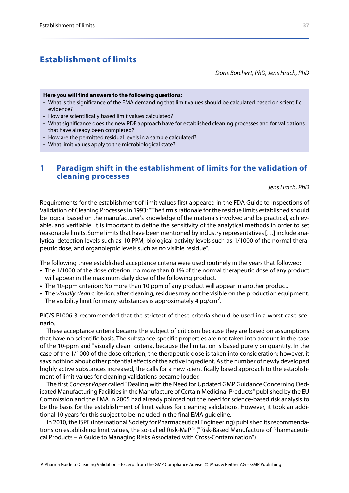# <span id="page-12-0"></span>**Establishment of limits**

<span id="page-12-2"></span>*Doris Borchert, PhD, Jens Hrach, PhD*

#### **Here you will find answers to the following questions:**

- What is the significance of the EMA demanding that limit values should be calculated based on scientific evidence?
- How are scientifically based limit values calculated?
- What significance does the new PDE approach have for established cleaning processes and for validations that have already been completed?
- How are the permitted residual levels in a sample calculated?
- What limit values apply to the microbiological state?

# <span id="page-12-1"></span>**1 Paradigm shift in the establishment of limits for the validation of cleaning processes**

*Jens Hrach, PhD*

Requirements for the establishment of limit values first appeared in the FDA Guide to Inspections of Validation of Cleaning Processes in 1993: "The firm's rationale for the residue limits established should be logical based on the manufacturer's knowledge of the materials involved and be practical, achievable, and verifiable. It is important to define the sensitivity of the analytical methods in order to set reasonable limits. Some limits that have been mentioned by industry representatives […] include analytical detection levels such as 10 PPM, biological activity levels such as 1/1000 of the normal therapeutic dose, and organoleptic levels such as no visible residue".

The following three established acceptance criteria were used routinely in the years that followed:

- **•** The 1/1000 of the dose criterion: no more than 0.1% of the normal therapeutic dose of any product will appear in the maximum daily dose of the following product.
- **•** The 10-ppm criterion: No more than 10 ppm of any product will appear in another product.
- **•** The *visually clean* criterion: after cleaning, residues may not be visible on the production equipment. The visibility limit for many substances is approximately 4  $\mu$ g/cm<sup>2</sup>.

PIC/S PI 006-3 recommended that the strictest of these criteria should be used in a worst-case scenario.

These acceptance criteria became the subject of criticism because they are based on assumptions that have no scientific basis. The substance-specific properties are not taken into account in the case of the 10-ppm and "visually clean" criteria, because the limitation is based purely on quantity. In the case of the 1/1000 of the dose criterion, the therapeutic dose is taken into consideration; however, it says nothing about other potential effects of the active ingredient. As the number of newly developed highly active substances increased, the calls for a new scientifically based approach to the establishment of limit values for cleaning validations became louder.

The first *Concept Paper* called "Dealing with the Need for Updated GMP Guidance Concerning Dedicated Manufacturing Facilities in the Manufacture of Certain Medicinal Products" published by the EU Commission and the EMA in 2005 had already pointed out the need for science-based risk analysis to be the basis for the establishment of limit values for cleaning validations. However, it took an additional 10 years for this subject to be included in the final EMA guideline.

In 2010, the ISPE (International Society for Pharmaceutical Engineering) published its recommendations on establishing limit values, the so-called Risk-MaPP ("Risk-Based Manufacture of Pharmaceutical Products – A Guide to Managing Risks Associated with Cross-Contamination").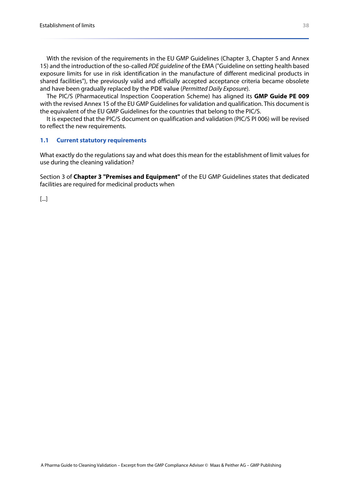With the revision of the requirements in the EU GMP Guidelines (Chapter 3, Chapter 5 and Annex 15) and the introduction of the so-called *PDE guideline* of the EMA ("Guideline on setting health based exposure limits for use in risk identification in the manufacture of different medicinal products in shared facilities"), the previously valid and officially accepted acceptance criteria became obsolete and have been gradually replaced by the **PDE value** (*Permitted Daily Exposure*).

<span id="page-13-1"></span>The PIC/S (Pharmaceutical Inspection Cooperation Scheme) has aligned its **GMP Guide PE 009** with the revised Annex 15 of the EU GMP Guidelines for validation and qualification. This document is the equivalent of the EU GMP Guidelines for the countries that belong to the PIC/S.

It is expected that the PIC/S document on qualification and validation (PIC/S PI 006) will be revised to reflect the new requirements.

#### <span id="page-13-2"></span>**1.1 Current statutory requirements**

What exactly do the regulations say and what does this mean for the establishment of limit values for use during the cleaning validation?

Section 3 of **Chapter 3 "Premises and Equipment"** of the EU GMP Guidelines states that dedicated facilities are required for medicinal products when

<span id="page-13-3"></span><span id="page-13-0"></span>[...]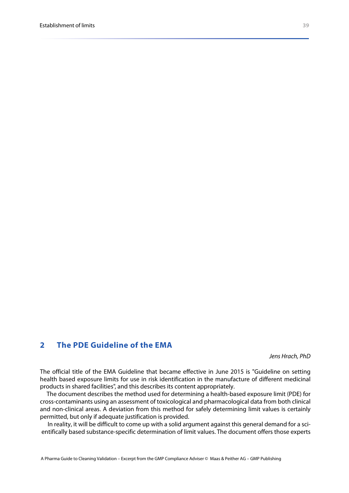# <span id="page-14-2"></span><span id="page-14-0"></span>**2 The PDE Guideline of the EMA**

<span id="page-14-1"></span>*Jens Hrach, PhD*

The official title of the EMA Guideline that became effective in June 2015 is "Guideline on setting health based exposure limits for use in risk identification in the manufacture of different medicinal products in shared facilities", and this describes its content appropriately.

The document describes the method used for determining a health-based exposure limit (PDE) for cross-contaminants using an assessment of toxicological and pharmacological data from both clinical and non-clinical areas. A deviation from this method for safely determining limit values is certainly permitted, but only if adequate justification is provided.

In reality, it will be difficult to come up with a solid argument against this general demand for a scientifically based substance-specific determination of limit values. The document offers those experts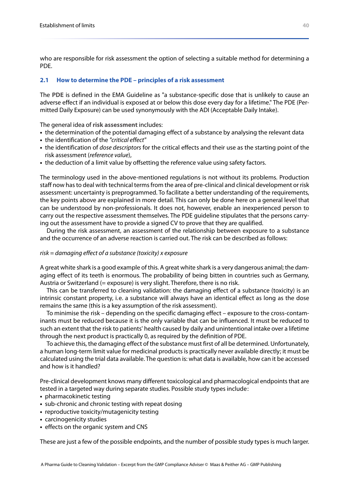who are responsible for risk assessment the option of selecting a suitable method for determining a PDE.

#### **2.1 How to determine the PDE – principles of a risk assessment**

<span id="page-15-0"></span>The **PDE** is defined in the EMA Guideline as "a substance-specific dose that is unlikely to cause an adverse effect if an individual is exposed at or below this dose every day for a lifetime." The PDE (Permitted Daily Exposure) can be used synonymously with the ADI (Acceptable Daily Intake).

<span id="page-15-1"></span>The general idea of **risk assessment** includes:

- **•** the determination of the potential damaging effect of a substance by analysing the relevant data
- **•** the identification of the *"critical effect"*
- **•** the identification of *dose descriptors* for the critical effects and their use as the starting point of the risk assessment (*reference value*),
- **•** the deduction of a limit value by offsetting the reference value using safety factors.

The terminology used in the above-mentioned regulations is not without its problems. Production staff now has to deal with technical terms from the area of pre-clinical and clinical development or risk assessment: uncertainty is preprogrammed. To facilitate a better understanding of the requirements, the key points above are explained in more detail. This can only be done here on a general level that can be understood by non-professionals. It does not, however, enable an inexperienced person to carry out the respective assessment themselves. The PDE guideline stipulates that the persons carrying out the assessment have to provide a signed CV to prove that they are qualified.

During the risk assessment, an assessment of the relationship between exposure to a substance and the occurrence of an adverse reaction is carried out. The risk can be described as follows:

#### *risk = damaging effect of a substance (toxicity) x exposure*

A great white shark is a good example of this. A great white shark is a very dangerous animal; the damaging effect of its teeth is enormous. The probability of being bitten in countries such as Germany, Austria or Switzerland (= exposure) is very slight. Therefore, there is no risk.

This can be transferred to cleaning validation: the damaging effect of a substance (toxicity) is an intrinsic constant property, i.e. a substance will always have an identical effect as long as the dose remains the same (this is a key assumption of the risk assessment).

To minimise the risk – depending on the specific damaging effect – exposure to the cross-contaminants must be reduced because it is the only variable that can be influenced. It must be reduced to such an extent that the risk to patients' health caused by daily and unintentional intake over a lifetime through the next product is practically 0, as required by the definition of PDE.

To achieve this, the damaging effect of the substance must first of all be determined. Unfortunately, a human long-term limit value for medicinal products is practically never available directly; it must be calculated using the trial data available. The question is: what data is available, how can it be accessed and how is it handled?

Pre-clinical development knows many different toxicological and pharmacological endpoints that are tested in a targeted way during separate studies. Possible study types include :

- **•** pharmacokinetic testing
- **•** sub-chronic and chronic testing with repeat dosing
- **•** reproductive toxicity/mutagenicity testing
- **•** carcinogenicity studies
- **•** effects on the organic system and CNS

These are just a few of the possible endpoints, and the number of possible study types is much larger.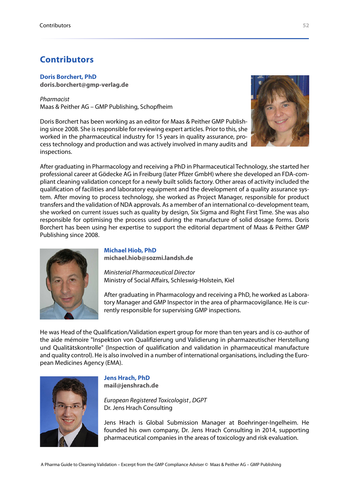# <span id="page-16-1"></span><span id="page-16-0"></span>**Contributors**

**Doris Borchert, PhD**

**[doris.borchert@gmp-verlag.de](mailto:doris.borchert@gmp-verlag.de)**

*Pharmacist* Maas & Peither AG – GMP Publishing, Schopfheim

Doris Borchert has been working as an editor for Maas & Peither GMP Publishing since 2008. She is responsible for reviewing expert articles. Prior to this, she worked in the pharmaceutical industry for 15 years in quality assurance, process technology and production and was actively involved in many audits and inspections.



After graduating in Pharmacology and receiving a PhD in Pharmaceutical Technology, she started her professional career at Gödecke AG in Freiburg (later Pfizer GmbH) where she developed an FDA-compliant cleaning validation concept for a newly built solids factory. Other areas of activity included the qualification of facilities and laboratory equipment and the development of a quality assurance system. After moving to process technology, she worked as Project Manager, responsible for product transfers and the validation of NDA approvals. As a member of an international co-development team, she worked on current issues such as quality by design, Six Sigma and Right First Time. She was also responsible for optimising the process used during the manufacture of solid dosage forms. Doris Borchert has been using her expertise to support the editorial department of Maas & Peither GMP Publishing since 2008.



#### **Michael Hiob, PhD**

**[michael.hiob@sozmi.landsh.de](mailto:Michael.hiob@sozmi.landsh.de)**

*Ministerial Pharmaceutical Director* Ministry of Social Affairs, Schleswig-Holstein, Kiel

After graduating in Pharmacology and receiving a PhD, he worked as Laboratory Manager and GMP Inspector in the area of pharmacovigilance. He is currently responsible for supervising GMP inspections.

He was Head of the Qualification/Validation expert group for more than ten years and is co-author of the aide mémoire "Inspektion von Qualifizierung und Validierung in pharmazeutischer Herstellung und Qualitätskontrolle" (Inspection of qualification and validation in pharmaceutical manufacture and quality control). He is also involved in a number of international organisations, including the European Medicines Agency (EMA).



#### **Jens Hrach, PhD**

**[mail@jenshrach.de](mailto:mail@jenshrach.de)**

*European Registered Toxicologist , DGPT* Dr. Jens Hrach Consulting

Jens Hrach is Global Submission Manager at Boehringer-Ingelheim. He founded his own company, Dr. Jens Hrach Consulting in 2014, supporting pharmaceutical companies in the areas of toxicology and risk evaluation.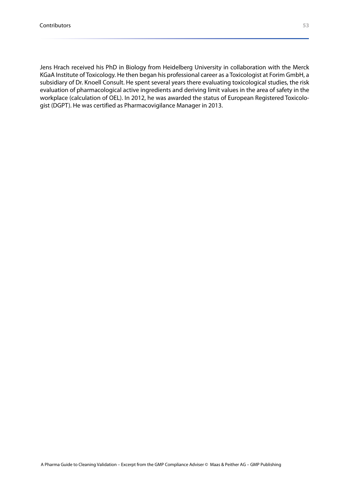Jens Hrach received his PhD in Biology from Heidelberg University in collaboration with the Merck KGaA Institute of Toxicology. He then began his professional career as a Toxicologist at Forim GmbH, a subsidiary of Dr. Knoell Consult. He spent several years there evaluating toxicological studies, the risk evaluation of pharmacological active ingredients and deriving limit values in the area of safety in the workplace (calculation of OEL). In 2012, he was awarded the status of European Registered Toxicologist (DGPT). He was certified as Pharmacovigilance Manager in 2013.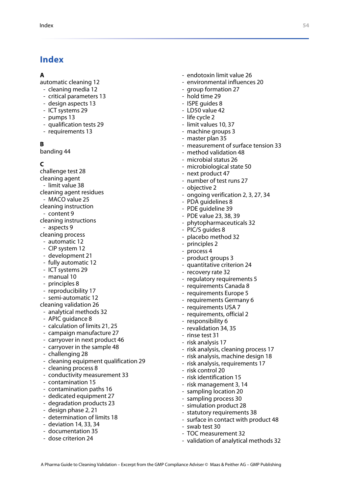# <span id="page-18-0"></span>**Index**

#### **A**

- automatic cleaning [12](#page--1-9)
- cleaning media [12](#page--1-10)
- critical parameters [13](#page--1-11)
- design aspects [13](#page--1-12)
- ICT systems [29](#page--1-13)
- pumps [13](#page--1-14)
- qualification tests [29](#page--1-15)
- requirements [13](#page--1-16)

# **B**

banding [44](#page--1-17)

# **C**

- challenge test [28](#page--1-18)
- cleaning agent
- limit value [38](#page-13-0)
- cleaning agent residues
- MACO value [25](#page--1-19)
- cleaning instruction
- content [9](#page-7-2)
- cleaning instructions
- aspects [9](#page-7-3)
- cleaning process
- automatic [12](#page--1-9) - CIP system [12](#page--1-20)
- 
- development [21](#page--1-21) - fully automatic [12](#page--1-22)
- ICT systems [29](#page--1-13)
- manual [10](#page-8-0)
- principles [8](#page-6-1)
- reproducibility [17](#page--1-23)
- semi-automatic [12](#page--1-24)
- cleaning validation [26](#page--1-25)
- analytical methods [32](#page--1-26)
- APIC quidance [8](#page-6-2)
- calculation of limits [21,](#page--1-27) [25](#page--1-28)
- campaign manufacture [27](#page--1-29)
- carryover in next product [46](#page--1-30)
- carryover in the sample [48](#page--1-31)
- challenging [28](#page--1-18)
- cleaning equipment qualification [29](#page--1-32)
- cleaning process [8](#page-6-3)
- conductivity measurement [33](#page--1-33)
- contamination [15](#page-10-1)
- contamination paths [16](#page-11-1)
- dedicated equipment [27](#page--1-34)
- degradation products [23](#page--1-35)
- design phase [2](#page-3-2), [21](#page--1-36)
- determination of limits [18](#page--1-37)
- deviation [14](#page-9-1), [33,](#page--1-38) [34](#page--1-39)
- documentation [35](#page--1-40)
- dose criterion [24](#page--1-41)
- endotoxin limit value [26](#page--1-42)
- environmental influences [20](#page--1-43)
- group formation [27](#page--1-44)
- hold time [29](#page--1-45)
- ISPE quides [8](#page-6-4)
- LD50 value [42](#page--1-46)
- life cycle [2](#page-3-3)
- limit values [10,](#page-8-1) [37](#page-12-2)
- machine groups [3](#page-4-1)
- master plan [35](#page--1-47)
- measurement of surface tension [33](#page--1-48)
- method validation [48](#page--1-49)
- microbial status [26](#page--1-50)
- microbiological state [50](#page--1-51)
- next product [47](#page--1-52)
- number of test runs [27](#page--1-53)
- objective [2](#page-3-4)
- ongoing verification [2,](#page-3-5) [3,](#page-4-2) [27](#page--1-54), [34](#page--1-55)
- PDA guidelines [8](#page-6-5)
- PDE guideline [39](#page-14-1)
- PDE value [23](#page--1-56), [38,](#page-13-1) [39](#page-14-2)
- phytopharmaceuticals [32](#page--1-57)
- PIC/S guides [8](#page-6-6)
- placebo method [32](#page--1-58)
- principles [2](#page-3-6)
- process [4](#page--1-59)
- product groups [3](#page-4-3)
- quantitative criterion [24](#page--1-60)
- recovery rate [32](#page--1-61)
- regulatory requirements [5](#page-5-1)
- requirements Canada [8](#page-6-7)
- requirements Europe [5](#page-5-2)
- requirements Germany [6](#page--1-62)
- requirements USA [7](#page--1-63)
- requirements, official [2](#page-3-7)
- responsibility [6](#page--1-64)
- revalidation [34](#page--1-55), [35](#page--1-65)
- rinse test [31](#page--1-66)
- risk analysis [17](#page--1-67)
- risk analysis, cleaning process [17](#page--1-68)
- risk analysis, machine design [18](#page--1-69)
- risk analysis, requirements [17](#page--1-70)
- risk control [20](#page--1-71)

- swab test [30](#page--1-76)

A Pharma Guide to Cleaning Validation – Excerpt from the GMP Compliance Adviser © Maas & Peither AG – GMP Publishing

- risk identification [15](#page-10-2)
- risk management [3,](#page-4-4) [14](#page-9-2)
- sampling location [20](#page--1-72)
- sampling process [30](#page--1-73)
- simulation product [28](#page--1-74)

- TOC measurement [32](#page--1-77)

- statutory requirements [38](#page-13-2)

- surface in contact with product [48](#page--1-75)

- validation of analytical methods [32](#page--1-78)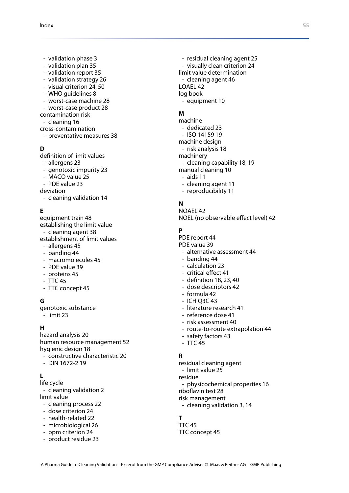- validation phase [3](#page-4-5)
- validation plan [35](#page--1-79)
- validation report [35](#page--1-80)
- validation strategy [26](#page--1-81)
- visual criterion [24,](#page--1-82) [50](#page--1-83)
- WHO guidelines [8](#page-6-8)
- worst-case machine [28](#page--1-84)
- worst-case product [28](#page--1-85)
- contamination risk
- cleaning [16](#page-11-2)
- cross-contamination
- preventative measures [38](#page-13-3)

#### **D**

definition of limit values

- allergens [23](#page--1-86)
- genotoxic impurity [23](#page--1-87)
- MACO value [25](#page--1-19)
- PDE value [23](#page--1-56)
- deviation
- cleaning validation [14](#page-9-1)

#### **E**

equipment train [48](#page--1-88) establishing the limit value - cleaning agent [38](#page-13-0) establishment of limit values

- allergens [45](#page--1-89)
- banding [44](#page--1-17) - macromolecules [45](#page--1-90)
- PDE value [39](#page-14-2)
- proteins [45](#page--1-90)
- $-$  TTC [45](#page--1-91)
- TTC concept [45](#page--1-92)

#### **G**

genotoxic substance - limit [23](#page--1-93)

#### **H**

hazard analysis [20](#page--1-94) human resource management [52](#page-16-1) hygienic design [18](#page--1-95)

- constructive characteristic [20](#page--1-96)
- DIN 1672-2 [19](#page--1-97)

#### **L**

life cycle - cleaning validation [2](#page-3-3) limit value

- cleaning process [22](#page--1-98)
- dose criterion [24](#page--1-41)
- health-related [22](#page--1-99)
- microbiological [26](#page--1-50)
- ppm criterion [24](#page--1-60)
- product residue [23](#page--1-100)
- residual cleaning agent [25](#page--1-101) - visually clean criterion [24](#page--1-82) limit value determination - cleaning agent [46](#page--1-102) LOAEL [42](#page--1-103) log book
- equipment [10](#page-8-2)

#### **M**

machine - dedicated [23](#page--1-104) - ISO 14159 [19](#page--1-105) machine design - risk analysis [18](#page--1-69) machinery - cleaning capability [18,](#page--1-106) [19](#page--1-107) manual cleaning [10](#page-8-0) - aids [11](#page--1-108) - cleaning agent [11](#page--1-109) - reproducibility [11](#page--1-110)

#### **N**

NOAEL [42](#page--1-111) NOEL (no observable effect level) [42](#page--1-112)

#### **P**

PDE report [44](#page--1-113) PDE value [39](#page-14-2) - alternative assessment [44](#page--1-114) - banding [44](#page--1-17) - calculation [23](#page--1-115) - critical effect [41](#page--1-116) - definition [18](#page--1-117), [23,](#page--1-118) [40](#page-15-0) - dose descriptors [42](#page--1-119)

- formula [42](#page--1-120)
- ICH Q3C [43](#page--1-121)
- literature research [41](#page--1-122)
- reference dose [41](#page--1-123)
- risk assessment [40](#page-15-1)
- route-to-route extrapolation [44](#page--1-124)
- safety factors [43](#page--1-125)
- TTC [45](#page--1-91)

#### **R**

residual cleaning agent - limit value [25](#page--1-101) residue physicochemical properties [16](#page-11-3) riboflavin test [28](#page--1-126) risk management - cleaning validation [3](#page-4-4), [14](#page-9-2)

#### **T**

 $TC<sub>45</sub>$  $TC<sub>45</sub>$  $TC<sub>45</sub>$ TTC concept [45](#page--1-92)